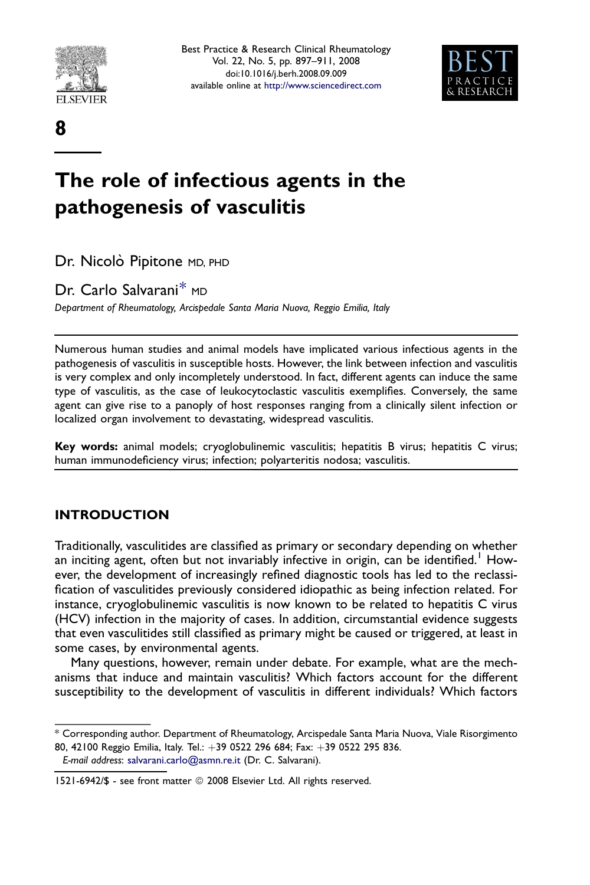

8



# The role of infectious agents in the pathogenesis of vasculitis

Dr. Nicolò Pipitone MD, PHD

Dr. Carlo Salvarani\* MD

Department of Rheumatology, Arcispedale Santa Maria Nuova, Reggio Emilia, Italy

Numerous human studies and animal models have implicated various infectious agents in the pathogenesis of vasculitis in susceptible hosts. However, the link between infection and vasculitis is very complex and only incompletely understood. In fact, different agents can induce the same type of vasculitis, as the case of leukocytoclastic vasculitis exemplifies. Conversely, the same agent can give rise to a panoply of host responses ranging from a clinically silent infection or localized organ involvement to devastating, widespread vasculitis.

Key words: animal models; cryoglobulinemic vasculitis; hepatitis B virus; hepatitis C virus; human immunodeficiency virus; infection; polyarteritis nodosa; vasculitis.

# INTRODUCTION

Traditionally, vasculitides are classified as primary or secondary depending on whether an inciting agent, often but not invariably infective in origin, can be identified.<sup>[1](#page-11-0)</sup> However, the development of increasingly refined diagnostic tools has led to the reclassification of vasculitides previously considered idiopathic as being infection related. For instance, cryoglobulinemic vasculitis is now known to be related to hepatitis C virus (HCV) infection in the majority of cases. In addition, circumstantial evidence suggests that even vasculitides still classified as primary might be caused or triggered, at least in some cases, by environmental agents.

Many questions, however, remain under debate. For example, what are the mechanisms that induce and maintain vasculitis? Which factors account for the different susceptibility to the development of vasculitis in different individuals? Which factors

<sup>\*</sup> Corresponding author. Department of Rheumatology, Arcispedale Santa Maria Nuova, Viale Risorgimento 80, 42100 Reggio Emilia, Italy. Tel.: +39 0522 296 684; Fax: +39 0522 295 836.

E-mail address: [salvarani.carlo@asmn.re.it](mailto:salvarani.carlo@asmn.re.it) (Dr. C. Salvarani).

<sup>1521-6942/\$ -</sup> see front matter © 2008 Elsevier Ltd. All rights reserved.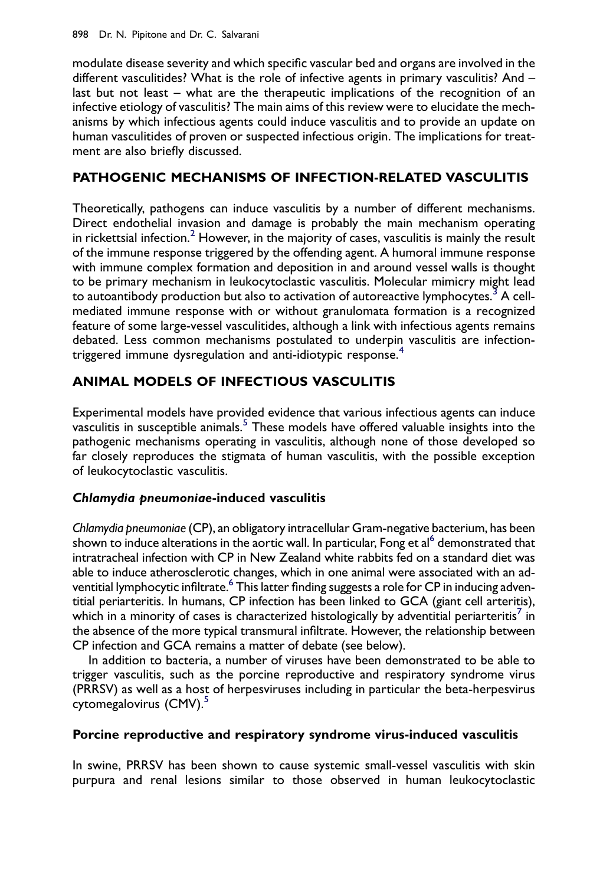modulate disease severity and which specific vascular bed and organs are involved in the different vasculitides? What is the role of infective agents in primary vasculitis? And last but not least – what are the therapeutic implications of the recognition of an infective etiology of vasculitis? The main aims of this review were to elucidate the mechanisms by which infectious agents could induce vasculitis and to provide an update on human vasculitides of proven or suspected infectious origin. The implications for treatment are also briefly discussed.

# PATHOGENIC MECHANISMS OF INFECTION-RELATED VASCULITIS

Theoretically, pathogens can induce vasculitis by a number of different mechanisms. Direct endothelial invasion and damage is probably the main mechanism operating in rickettsial infection.<sup>[2](#page-11-0)</sup> However, in the majority of cases, vasculitis is mainly the result of the immune response triggered by the offending agent. A humoral immune response with immune complex formation and deposition in and around vessel walls is thought to be primary mechanism in leukocytoclastic vasculitis. Molecular mimicry might lead to autoantibody production but also to activation of autoreactive lymphocytes.<sup>[3](#page-11-0)</sup> A cellmediated immune response with or without granulomata formation is a recognized feature of some large-vessel vasculitides, although a link with infectious agents remains debated. Less common mechanisms postulated to underpin vasculitis are infection-triggered immune dysregulation and anti-idiotypic response.<sup>[4](#page-11-0)</sup>

# ANIMAL MODELS OF INFECTIOUS VASCULITIS

Experimental models have provided evidence that various infectious agents can induce vasculitis in susceptible animals.<sup>[5](#page-11-0)</sup> These models have offered valuable insights into the pathogenic mechanisms operating in vasculitis, although none of those developed so far closely reproduces the stigmata of human vasculitis, with the possible exception of leukocytoclastic vasculitis.

# Chlamydia pneumoniae-induced vasculitis

Chlamydia pneumoniae (CP), an obligatory intracellular Gram-negative bacterium, has been shown to induce alterations in the aortic wall. In particular, Fong et al<sup>[6](#page-11-0)</sup> demonstrated that intratracheal infection with CP in New Zealand white rabbits fed on a standard diet was able to induce atherosclerotic changes, which in one animal were associated with an adventitial lymphocytic infiltrate.<sup>6</sup> This latter finding suggests a role for CP in inducing adventitial periarteritis. In humans, CP infection has been linked to GCA (giant cell arteritis), which in a minority of cases is characterized histologically by adventitial periarteritis<sup>7</sup> in the absence of the more typical transmural infiltrate. However, the relationship between CP infection and GCA remains a matter of debate (see below).

In addition to bacteria, a number of viruses have been demonstrated to be able to trigger vasculitis, such as the porcine reproductive and respiratory syndrome virus (PRRSV) as well as a host of herpesviruses including in particular the beta-herpesvirus cytomegalovirus (CMV).<sup>[5](#page-11-0)</sup>

# Porcine reproductive and respiratory syndrome virus-induced vasculitis

In swine, PRRSV has been shown to cause systemic small-vessel vasculitis with skin purpura and renal lesions similar to those observed in human leukocytoclastic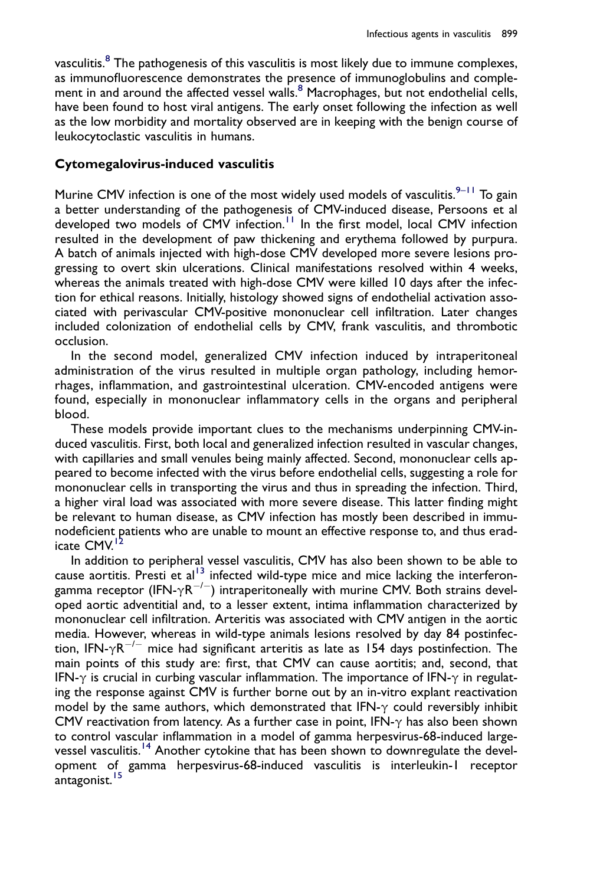vasculitis.<sup>[8](#page-11-0)</sup> The pathogenesis of this vasculitis is most likely due to immune complexes, as immunofluorescence demonstrates the presence of immunoglobulins and complement in and around the affected vessel walls. $8$  Macrophages, but not endothelial cells, have been found to host viral antigens. The early onset following the infection as well as the low morbidity and mortality observed are in keeping with the benign course of leukocytoclastic vasculitis in humans.

#### Cytomegalovirus-induced vasculitis

Murine CMV infection is one of the most widely used models of vasculitis. $9-11$  To gain a better understanding of the pathogenesis of CMV-induced disease, Persoons et al developed two models of CMV infection.<sup>[11](#page-11-0)</sup> In the first model, local CMV infection resulted in the development of paw thickening and erythema followed by purpura. A batch of animals injected with high-dose CMV developed more severe lesions progressing to overt skin ulcerations. Clinical manifestations resolved within 4 weeks, whereas the animals treated with high-dose CMV were killed 10 days after the infection for ethical reasons. Initially, histology showed signs of endothelial activation associated with perivascular CMV-positive mononuclear cell infiltration. Later changes included colonization of endothelial cells by CMV, frank vasculitis, and thrombotic occlusion.

In the second model, generalized CMV infection induced by intraperitoneal administration of the virus resulted in multiple organ pathology, including hemorrhages, inflammation, and gastrointestinal ulceration. CMV-encoded antigens were found, especially in mononuclear inflammatory cells in the organs and peripheral blood.

These models provide important clues to the mechanisms underpinning CMV-induced vasculitis. First, both local and generalized infection resulted in vascular changes, with capillaries and small venules being mainly affected. Second, mononuclear cells appeared to become infected with the virus before endothelial cells, suggesting a role for mononuclear cells in transporting the virus and thus in spreading the infection. Third, a higher viral load was associated with more severe disease. This latter finding might be relevant to human disease, as CMV infection has mostly been described in immunodeficient patients who are unable to mount an effective response to, and thus eradicate CMV.

In addition to peripheral vessel vasculitis, CMV has also been shown to be able to cause aortitis. Presti et al<sup>13</sup> infected wild-type mice and mice lacking the interferongamma receptor (IFN- $\gamma$ R<sup>-/-</sup>) intraperitoneally with murine CMV. Both strains developed aortic adventitial and, to a lesser extent, intima inflammation characterized by mononuclear cell infiltration. Arteritis was associated with CMV antigen in the aortic media. However, whereas in wild-type animals lesions resolved by day 84 postinfection, IFN- $\gamma$ R<sup>-/-</sup> mice had significant arteritis as late as 154 days postinfection. The main points of this study are: first, that CMV can cause aortitis; and, second, that IFN- $\gamma$  is crucial in curbing vascular inflammation. The importance of IFN- $\gamma$  in regulating the response against CMV is further borne out by an in-vitro explant reactivation model by the same authors, which demonstrated that IFN- $\gamma$  could reversibly inhibit CMV reactivation from latency. As a further case in point, IFN- $\gamma$  has also been shown to control vascular inflammation in a model of gamma herpesvirus-68-induced large-vessel vasculitis.<sup>[14](#page-11-0)</sup> Another cytokine that has been shown to downregulate the development of gamma herpesvirus-68-induced vasculitis is interleukin-1 receptor antagonist. <sup>[15](#page-11-0)</sup>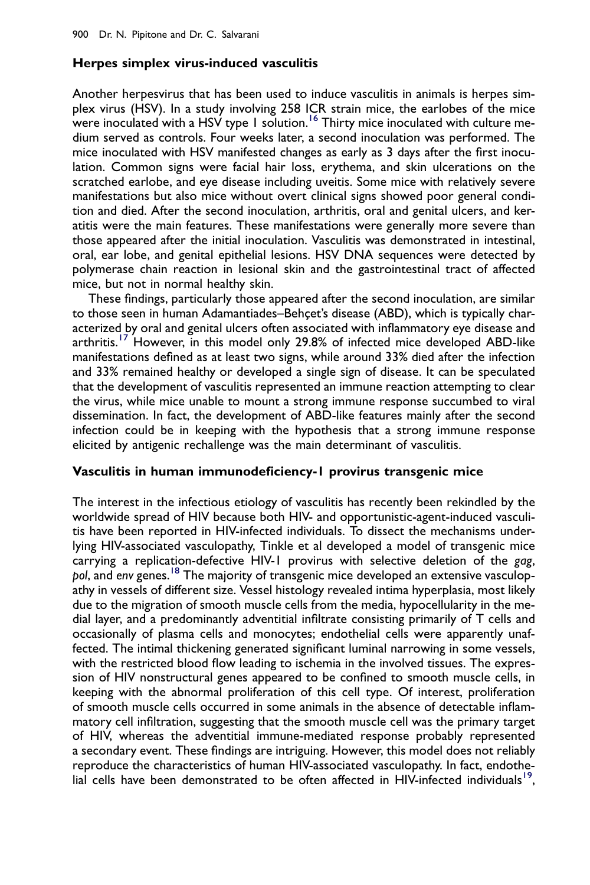## Herpes simplex virus-induced vasculitis

Another herpesvirus that has been used to induce vasculitis in animals is herpes simplex virus (HSV). In a study involving 258 ICR strain mice, the earlobes of the mice were inoculated with a HSV type 1 solution.<sup>[16](#page-11-0)</sup> Thirty mice inoculated with culture medium served as controls. Four weeks later, a second inoculation was performed. The mice inoculated with HSV manifested changes as early as 3 days after the first inoculation. Common signs were facial hair loss, erythema, and skin ulcerations on the scratched earlobe, and eye disease including uveitis. Some mice with relatively severe manifestations but also mice without overt clinical signs showed poor general condition and died. After the second inoculation, arthritis, oral and genital ulcers, and keratitis were the main features. These manifestations were generally more severe than those appeared after the initial inoculation. Vasculitis was demonstrated in intestinal, oral, ear lobe, and genital epithelial lesions. HSV DNA sequences were detected by polymerase chain reaction in lesional skin and the gastrointestinal tract of affected mice, but not in normal healthy skin.

These findings, particularly those appeared after the second inoculation, are similar to those seen in human Adamantiades–Behçet's disease (ABD), which is typically characterized by oral and genital ulcers often associated with inflammatory eye disease and arthritis.<sup>[17](#page-11-0)</sup> However, in this model only 29.8% of infected mice developed ABD-like manifestations defined as at least two signs, while around 33% died after the infection and 33% remained healthy or developed a single sign of disease. It can be speculated that the development of vasculitis represented an immune reaction attempting to clear the virus, while mice unable to mount a strong immune response succumbed to viral dissemination. In fact, the development of ABD-like features mainly after the second infection could be in keeping with the hypothesis that a strong immune response elicited by antigenic rechallenge was the main determinant of vasculitis.

## Vasculitis in human immunodeficiency-1 provirus transgenic mice

The interest in the infectious etiology of vasculitis has recently been rekindled by the worldwide spread of HIV because both HIV- and opportunistic-agent-induced vasculitis have been reported in HIV-infected individuals. To dissect the mechanisms underlying HIV-associated vasculopathy, Tinkle et al developed a model of transgenic mice carrying a replication-defective HIV-1 provirus with selective deletion of the gag, pol, and env genes.<sup>[18](#page-11-0)</sup> The majority of transgenic mice developed an extensive vasculopathy in vessels of different size. Vessel histology revealed intima hyperplasia, most likely due to the migration of smooth muscle cells from the media, hypocellularity in the medial layer, and a predominantly adventitial infiltrate consisting primarily of T cells and occasionally of plasma cells and monocytes; endothelial cells were apparently unaffected. The intimal thickening generated significant luminal narrowing in some vessels, with the restricted blood flow leading to ischemia in the involved tissues. The expression of HIV nonstructural genes appeared to be confined to smooth muscle cells, in keeping with the abnormal proliferation of this cell type. Of interest, proliferation of smooth muscle cells occurred in some animals in the absence of detectable inflammatory cell infiltration, suggesting that the smooth muscle cell was the primary target of HIV, whereas the adventitial immune-mediated response probably represented a secondary event. These findings are intriguing. However, this model does not reliably reproduce the characteristics of human HIV-associated vasculopathy. In fact, endothelial cells have been demonstrated to be often affected in HIV-infected individuals<sup>19</sup>,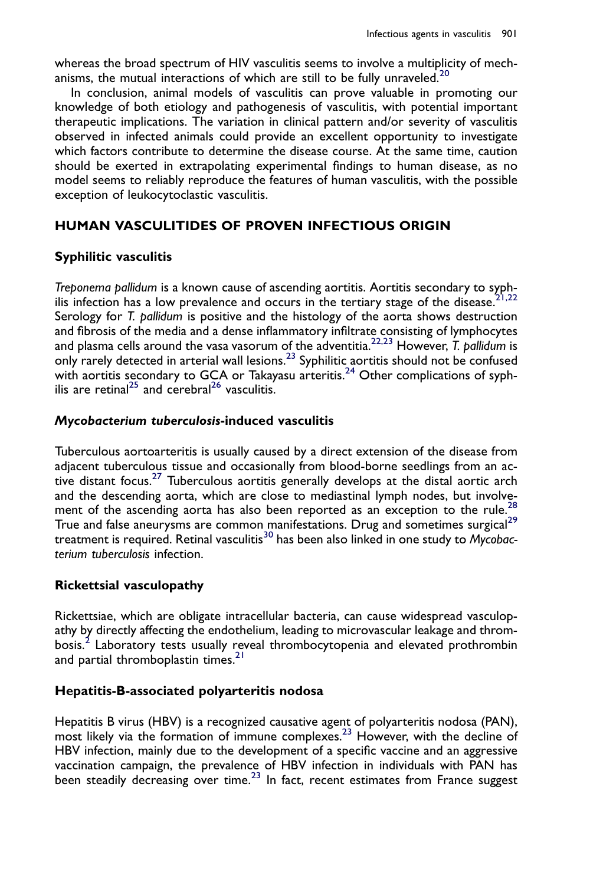whereas the broad spectrum of HIV vasculitis seems to involve a multiplicity of mech-anisms, the mutual interactions of which are still to be fully unraveled.<sup>[20](#page-11-0)</sup>

In conclusion, animal models of vasculitis can prove valuable in promoting our knowledge of both etiology and pathogenesis of vasculitis, with potential important therapeutic implications. The variation in clinical pattern and/or severity of vasculitis observed in infected animals could provide an excellent opportunity to investigate which factors contribute to determine the disease course. At the same time, caution should be exerted in extrapolating experimental findings to human disease, as no model seems to reliably reproduce the features of human vasculitis, with the possible exception of leukocytoclastic vasculitis.

# HUMAN VASCULITIDES OF PROVEN INFECTIOUS ORIGIN

## Syphilitic vasculitis

Treponema pallidum is a known cause of ascending aortitis. Aortitis secondary to syphilis infection has a low prevalence and occurs in the tertiary stage of the disease.<sup>2</sup> Serology for T. pallidum is positive and the histology of the aorta shows destruction and fibrosis of the media and a dense inflammatory infiltrate consisting of lymphocytes and plasma cells around the vasa vasorum of the adventitia.<sup>[22,23](#page-11-0)</sup> However, T. pallidum is only rarely detected in arterial wall lesions. $^{23}$  $^{23}$  $^{23}$  Syphilitic aortitis should not be confused with aortitis secondary to GCA or Takayasu arteritis.<sup>[24](#page-11-0)</sup> Other complications of syph-ilis are retinal<sup>[25](#page-11-0)</sup> and cerebral<sup>26</sup> vasculitis.

## Mycobacterium tuberculosis-induced vasculitis

Tuberculous aortoarteritis is usually caused by a direct extension of the disease from adjacent tuberculous tissue and occasionally from blood-borne seedlings from an ac-tive distant focus.<sup>[27](#page-12-0)</sup> Tuberculous aortitis generally develops at the distal aortic arch and the descending aorta, which are close to mediastinal lymph nodes, but involvement of the ascending aorta has also been reported as an exception to the rule.<sup>28</sup> True and false aneurysms are common manifestations. Drug and sometimes surgical<sup>[29](#page-12-0)</sup> treatment is required. Retinal vasculitis<sup>[30](#page-12-0)</sup> has been also linked in one study to Mycobacterium tuberculosis infection.

## Rickettsial vasculopathy

Rickettsiae, which are obligate intracellular bacteria, can cause widespread vasculopathy by directly affecting the endothelium, leading to microvascular leakage and throm-bosis.<sup>[2](#page-11-0)</sup> Laboratory tests usually reveal thrombocytopenia and elevated prothrombin and partial thromboplastin times.<sup>[21](#page-11-0)</sup>

#### Hepatitis-B-associated polyarteritis nodosa

Hepatitis B virus (HBV) is a recognized causative agent of polyarteritis nodosa (PAN), most likely via the formation of immune complexes.<sup>23</sup> However, with the decline of HBV infection, mainly due to the development of a specific vaccine and an aggressive vaccination campaign, the prevalence of HBV infection in individuals with PAN has been steadily decreasing over time. $^{23}$  $^{23}$  $^{23}$  In fact, recent estimates from France suggest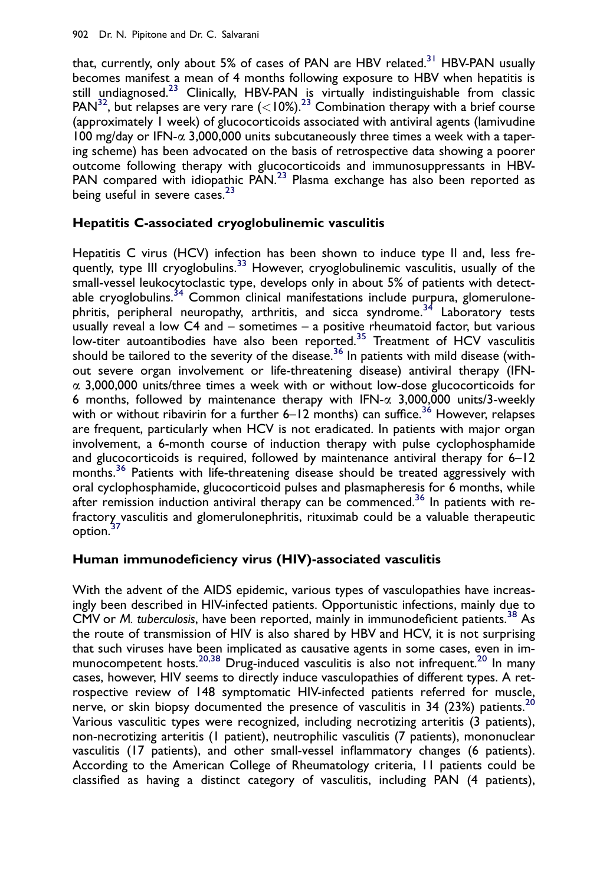that, currently, only about 5% of cases of PAN are HBV related.<sup>[31](#page-12-0)</sup> HBV-PAN usually becomes manifest a mean of 4 months following exposure to HBV when hepatitis is still undiagnosed.<sup>[23](#page-11-0)</sup> Clinically, HBV-PAN is virtually indistinguishable from classic  $PAN<sup>32</sup>$ , but relapses are very rare  $(<10%)$ .<sup>[23](#page-11-0)</sup> Combination therapy with a brief course (approximately 1 week) of glucocorticoids associated with antiviral agents (lamivudine 100 mg/day or IFN- $\alpha$  3,000,000 units subcutaneously three times a week with a tapering scheme) has been advocated on the basis of retrospective data showing a poorer outcome following therapy with glucocorticoids and immunosuppressants in HBV-PAN compared with idiopathic  $PAN<sup>23</sup>$  $PAN<sup>23</sup>$  $PAN<sup>23</sup>$  Plasma exchange has also been reported as being useful in severe cases.<sup>[23](#page-11-0)</sup>

# Hepatitis C-associated cryoglobulinemic vasculitis

Hepatitis C virus (HCV) infection has been shown to induce type II and, less fre-quently, type III cryoglobulins.<sup>[33](#page-12-0)</sup> However, cryoglobulinemic vasculitis, usually of the small-vessel leukocytoclastic type, develops only in about 5% of patients with detect-able cryoglobulins.<sup>[34](#page-12-0)</sup> Common clinical manifestations include purpura, glomerulone-phritis, peripheral neuropathy, arthritis, and sicca syndrome.<sup>[34](#page-12-0)</sup> Laboratory tests usually reveal a low C4 and – sometimes – a positive rheumatoid factor, but various low-titer autoantibodies have also been reported.<sup>[35](#page-12-0)</sup> Treatment of HCV vasculitis should be tailored to the severity of the disease. $^{36}$  $^{36}$  $^{36}$  In patients with mild disease (without severe organ involvement or life-threatening disease) antiviral therapy (IFN- $\alpha$  3,000,000 units/three times a week with or without low-dose glucocorticoids for 6 months, followed by maintenance therapy with IFN- $\alpha$  3,000,000 units/3-weekly with or without ribavirin for a further  $6-12$  months) can suffice.<sup>[36](#page-12-0)</sup> However, relapses are frequent, particularly when HCV is not eradicated. In patients with major organ involvement, a 6-month course of induction therapy with pulse cyclophosphamide and glucocorticoids is required, followed by maintenance antiviral therapy for  $6-12$ months.<sup>[36](#page-12-0)</sup> Patients with life-threatening disease should be treated aggressively with oral cyclophosphamide, glucocorticoid pulses and plasmapheresis for 6 months, while after remission induction antiviral therapy can be commenced.<sup>[36](#page-12-0)</sup> In patients with refractory vasculitis and glomerulonephritis, rituximab could be a valuable therapeutic option.<sup>[37](#page-12-0)</sup>

# Human immunodeficiency virus (HIV)-associated vasculitis

With the advent of the AIDS epidemic, various types of vasculopathies have increasingly been described in HIV-infected patients. Opportunistic infections, mainly due to CMV or *M. tuberculosis*, have been reported, mainly in immunodeficient patients.<sup>[38](#page-12-0)</sup> As the route of transmission of HIV is also shared by HBV and HCV, it is not surprising that such viruses have been implicated as causative agents in some cases, even in im-munocompetent hosts.<sup>[20,38](#page-11-0)</sup> Drug-induced vasculitis is also not infrequent.<sup>20</sup> In many cases, however, HIV seems to directly induce vasculopathies of different types. A retrospective review of 148 symptomatic HIV-infected patients referred for muscle, nerve, or skin biopsy documented the presence of vasculitis in 34 (23%) patients.<sup>[20](#page-11-0)</sup> Various vasculitic types were recognized, including necrotizing arteritis (3 patients), non-necrotizing arteritis (1 patient), neutrophilic vasculitis (7 patients), mononuclear vasculitis (17 patients), and other small-vessel inflammatory changes (6 patients). According to the American College of Rheumatology criteria, 11 patients could be classified as having a distinct category of vasculitis, including PAN (4 patients),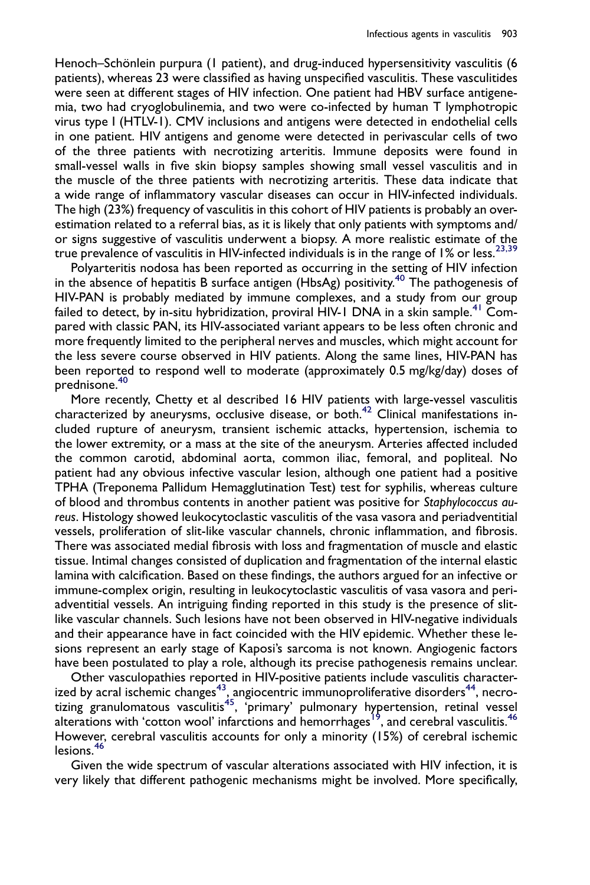Henoch–Schönlein purpura (1 patient), and drug-induced hypersensitivity vasculitis (6 patients), whereas 23 were classified as having unspecified vasculitis. These vasculitides were seen at different stages of HIV infection. One patient had HBV surface antigenemia, two had cryoglobulinemia, and two were co-infected by human T lymphotropic virus type I (HTLV-1). CMV inclusions and antigens were detected in endothelial cells in one patient. HIV antigens and genome were detected in perivascular cells of two of the three patients with necrotizing arteritis. Immune deposits were found in small-vessel walls in five skin biopsy samples showing small vessel vasculitis and in the muscle of the three patients with necrotizing arteritis. These data indicate that a wide range of inflammatory vascular diseases can occur in HIV-infected individuals. The high (23%) frequency of vasculitis in this cohort of HIV patients is probably an overestimation related to a referral bias, as it is likely that only patients with symptoms and/ or signs suggestive of vasculitis underwent a biopsy. A more realistic estimate of the true prevalence of vasculitis in HIV-infected individuals is in the range of 1% or less.<sup>[23,39](#page-11-0)</sup>

Polyarteritis nodosa has been reported as occurring in the setting of HIV infection in the absence of hepatitis B surface antigen (HbsAg) positivity.<sup>[40](#page-12-0)</sup> The pathogenesis of HIV-PAN is probably mediated by immune complexes, and a study from our group failed to detect, by in-situ hybridization, proviral HIV-1 DNA in a skin sample.<sup>[41](#page-12-0)</sup> Compared with classic PAN, its HIV-associated variant appears to be less often chronic and more frequently limited to the peripheral nerves and muscles, which might account for the less severe course observed in HIV patients. Along the same lines, HIV-PAN has been reported to respond well to moderate (approximately 0.5 mg/kg/day) doses of prednisone[.40](#page-12-0)

More recently, Chetty et al described 16 HIV patients with large-vessel vasculitis characterized by aneurysms, occlusive disease, or both.[42](#page-12-0) Clinical manifestations included rupture of aneurysm, transient ischemic attacks, hypertension, ischemia to the lower extremity, or a mass at the site of the aneurysm. Arteries affected included the common carotid, abdominal aorta, common iliac, femoral, and popliteal. No patient had any obvious infective vascular lesion, although one patient had a positive TPHA (Treponema Pallidum Hemagglutination Test) test for syphilis, whereas culture of blood and thrombus contents in another patient was positive for Staphylococcus aureus. Histology showed leukocytoclastic vasculitis of the vasa vasora and periadventitial vessels, proliferation of slit-like vascular channels, chronic inflammation, and fibrosis. There was associated medial fibrosis with loss and fragmentation of muscle and elastic tissue. Intimal changes consisted of duplication and fragmentation of the internal elastic lamina with calcification. Based on these findings, the authors argued for an infective or immune-complex origin, resulting in leukocytoclastic vasculitis of vasa vasora and periadventitial vessels. An intriguing finding reported in this study is the presence of slitlike vascular channels. Such lesions have not been observed in HIV-negative individuals and their appearance have in fact coincided with the HIV epidemic. Whether these lesions represent an early stage of Kaposi's sarcoma is not known. Angiogenic factors have been postulated to play a role, although its precise pathogenesis remains unclear.

Other vasculopathies reported in HIV-positive patients include vasculitis characterized by acral ischemic changes $^{43},$  angiocentric immunoproliferative disorders $^{44}$  $^{44}$  $^{44}$ , necrotizing granulomatous vasculitis<sup>45</sup>, 'primary' pulmonary hypertension, retinal vessel alterations with 'cotton wool' infarctions and hemorrhages<sup>[19](#page-11-0)</sup>, and cerebral vasculitis.<sup>46</sup> However, cerebral vasculitis accounts for only a minority (15%) of cerebral ischemic lesions.[46](#page-12-0)

Given the wide spectrum of vascular alterations associated with HIV infection, it is very likely that different pathogenic mechanisms might be involved. More specifically,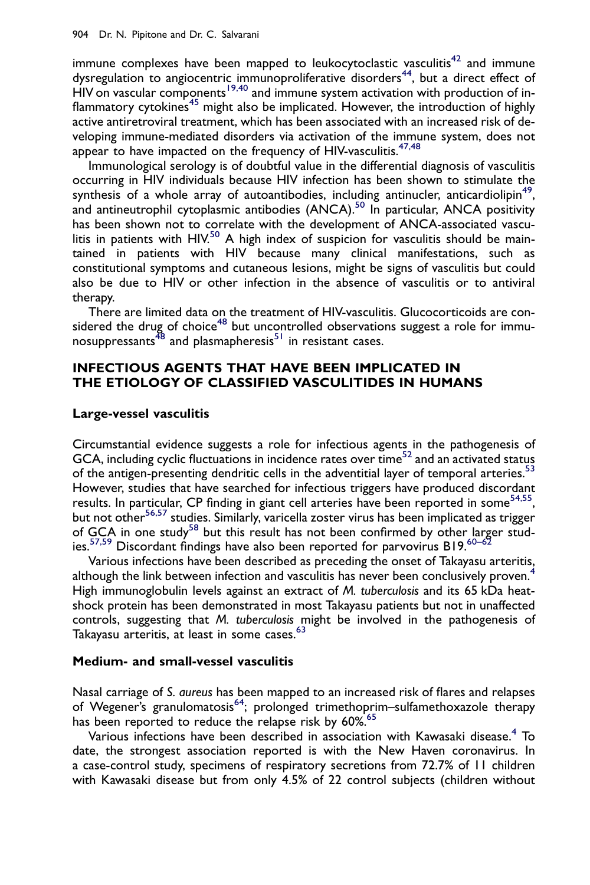immune complexes have been mapped to leukocytoclastic vasculitis<sup>[42](#page-12-0)</sup> and immune dysregulation to angiocentric immunoproliferative disorders<sup>[44](#page-12-0)</sup>, but a direct effect of  $H$ IV on vascular components<sup>[19,40](#page-11-0)</sup> and immune system activation with production of in-flammatory cytokines<sup>[45](#page-12-0)</sup> might also be implicated. However, the introduction of highly active antiretroviral treatment, which has been associated with an increased risk of developing immune-mediated disorders via activation of the immune system, does not appear to have impacted on the frequency of HIV-vasculitis.<sup>[47,48](#page-12-0)</sup>

Immunological serology is of doubtful value in the differential diagnosis of vasculitis occurring in HIV individuals because HIV infection has been shown to stimulate the synthesis of a whole array of autoantibodies, including antinucler, anticardiolipin<sup>49</sup>, and antineutrophil cytoplasmic antibodies  $(ANCA)$ <sup>[50](#page-12-0)</sup> In particular, ANCA positivity has been shown not to correlate with the development of ANCA-associated vasculitis in patients with HIV.<sup>50</sup> A high index of suspicion for vasculitis should be maintained in patients with HIV because many clinical manifestations, such as constitutional symptoms and cutaneous lesions, might be signs of vasculitis but could also be due to HIV or other infection in the absence of vasculitis or to antiviral therapy.

There are limited data on the treatment of HIV-vasculitis. Glucocorticoids are con-sidered the drug of choice<sup>[48](#page-12-0)</sup> but uncontrolled observations suggest a role for immu-nosuppressants<sup>48</sup> and plasmapheresis<sup>[51](#page-13-0)</sup> in resistant cases.

## INFECTIOUS AGENTS THAT HAVE BEEN IMPLICATED IN THE ETIOLOGY OF CLASSIFIED VASCULITIDES IN HUMANS

#### Large-vessel vasculitis

Circumstantial evidence suggests a role for infectious agents in the pathogenesis of GCA, including cyclic fluctuations in incidence rates over  $time^{52}$  $time^{52}$  $time^{52}$  and an activated status of the antigen-presenting dendritic cells in the adventitial layer of temporal arteries.<sup>[53](#page-13-0)</sup> However, studies that have searched for infectious triggers have produced discordant results. In particular, CP finding in giant cell arteries have been reported in some<sup>54,55</sup>, but not other<sup>[56,57](#page-13-0)</sup> studies. Similarly, varicella zoster virus has been implicated as trigger of GCA in one study<sup>[58](#page-13-0)</sup> but this result has not been confirmed by other larger stud-ies.<sup>[57,59](#page-13-0)</sup> Discordant findings have also been reported for parvovirus B19.<sup>[60–62](#page-13-0)</sup>

Various infections have been described as preceding the onset of Takayasu arteritis, although the link between infection and vasculitis has never been conclusively proven.<sup>[4](#page-11-0)</sup> High immunoglobulin levels against an extract of M. tuberculosis and its 65 kDa heatshock protein has been demonstrated in most Takayasu patients but not in unaffected controls, suggesting that M. tuberculosis might be involved in the pathogenesis of Takayasu arteritis, at least in some cases.<sup>[63](#page-13-0)</sup>

#### Medium- and small-vessel vasculitis

Nasal carriage of S. aureus has been mapped to an increased risk of flares and relapses of Wegener's granulomatosis<sup>64</sup>; prolonged trimethoprim–sulfamethoxazole therapy has been reported to reduce the relapse risk by 60%.<sup>[65](#page-13-0)</sup>

Various infections have been described in association with Kawasaki disease.<sup>[4](#page-11-0)</sup> To date, the strongest association reported is with the New Haven coronavirus. In a case-control study, specimens of respiratory secretions from 72.7% of 11 children with Kawasaki disease but from only 4.5% of 22 control subjects (children without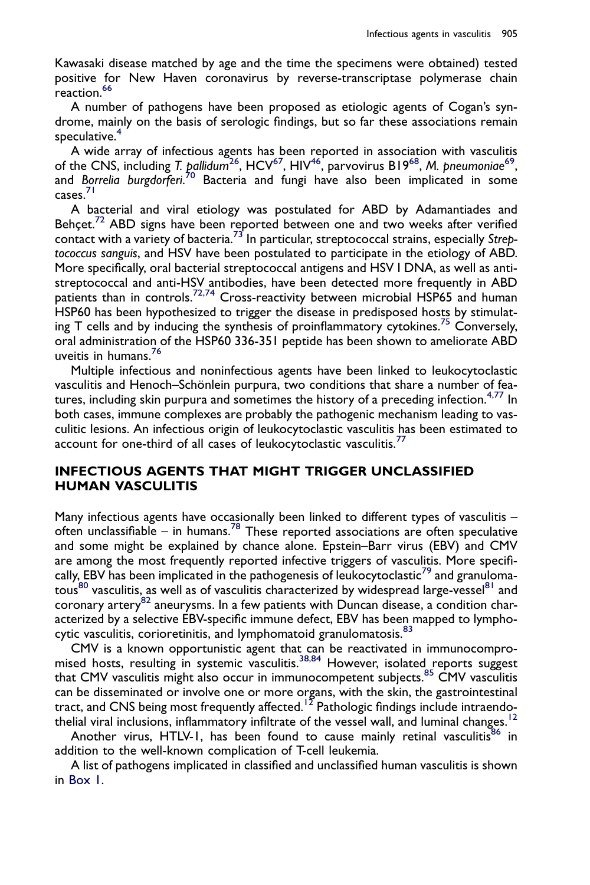Kawasaki disease matched by age and the time the specimens were obtained) tested positive for New Haven coronavirus by reverse-transcriptase polymerase chain reaction.<sup>[66](#page-13-0)</sup>

A number of pathogens have been proposed as etiologic agents of Cogan's syndrome, mainly on the basis of serologic findings, but so far these associations remain speculative.<sup>[4](#page-11-0)</sup>

A wide array of infectious agents has been reported in association with vasculitis of the CNS, including T. pallidum<sup>[26](#page-12-0)</sup>, HCV<sup>[67](#page-13-0)</sup>, HIV<sup>[46](#page-12-0)</sup>, parvovirus B19<sup>[68](#page-13-0)</sup>, M. pneumoniae<sup>69</sup>, and Borrelia burgdorferi.<sup>[70](#page-13-0)</sup> Bacteria and fungi have also been implicated in some cases.[71](#page-13-0)

A bacterial and viral etiology was postulated for ABD by Adamantiades and Behcet.<sup>72</sup> ABD signs have been reported between one and two weeks after verified contact with a variety of bacteria.<sup>[73](#page-13-0)</sup> In particular, streptococcal strains, especially Streptococcus sanguis, and HSV have been postulated to participate in the etiology of ABD. More specifically, oral bacterial streptococcal antigens and HSV I DNA, as well as antistreptococcal and anti-HSV antibodies, have been detected more frequently in ABD patients than in controls.<sup>[72,74](#page-13-0)</sup> Cross-reactivity between microbial HSP65 and human HSP60 has been hypothesized to trigger the disease in predisposed hosts by stimulat-ing T cells and by inducing the synthesis of proinflammatory cytokines.<sup>[75](#page-14-0)</sup> Conversely, oral administration of the HSP60 336-351 peptide has been shown to ameliorate ABD uveitis in humans[.76](#page-14-0)

Multiple infectious and noninfectious agents have been linked to leukocytoclastic vasculitis and Henoch–Schönlein purpura, two conditions that share a number of fea-tures, including skin purpura and sometimes the history of a preceding infection.<sup>[4,77](#page-11-0)</sup> In both cases, immune complexes are probably the pathogenic mechanism leading to vasculitic lesions. An infectious origin of leukocytoclastic vasculitis has been estimated to account for one-third of all cases of leukocytoclastic vasculitis.<sup>[77](#page-14-0)</sup>

# INFECTIOUS AGENTS THAT MIGHT TRIGGER UNCLASSIFIED HUMAN VASCULITIS

Many infectious agents have occasionally been linked to different types of vasculitis -often unclassifiable – in humans.<sup>[78](#page-14-0)</sup> These reported associations are often speculative and some might be explained by chance alone. Epstein–Barr virus (EBV) and CMV are among the most frequently reported infective triggers of vasculitis. More specifi-cally, EBV has been implicated in the pathogenesis of leukocytoclastic<sup>[79](#page-14-0)</sup> and granuloma-tous<sup>[80](#page-14-0)</sup> vasculitis, as well as of vasculitis characterized by widespread large-vessel<sup>[81](#page-14-0)</sup> and coronary artery<sup>[82](#page-14-0)</sup> aneurysms. In a few patients with Duncan disease, a condition characterized by a selective EBV-specific immune defect, EBV has been mapped to lympho-cytic vasculitis, corioretinitis, and lymphomatoid granulomatosis.<sup>[83](#page-14-0)</sup>

CMV is a known opportunistic agent that can be reactivated in immunocompro-mised hosts, resulting in systemic vasculitis.<sup>[38,84](#page-12-0)</sup> However, isolated reports suggest that CMV vasculitis might also occur in immunocompetent subjects.<sup>[85](#page-14-0)</sup> CMV vasculitis can be disseminated or involve one or more organs, with the skin, the gastrointestinal tract, and CNS being most frequently affected.<sup>[12](#page-11-0)</sup> Pathologic findings include intraendo-thelial viral inclusions, inflammatory infiltrate of the vessel wall, and luminal changes.<sup>[12](#page-11-0)</sup>

Another virus, HTLV-1, has been found to cause mainly retinal vasculitis<sup>[86](#page-14-0)</sup> in addition to the well-known complication of T-cell leukemia.

A list of pathogens implicated in classified and unclassified human vasculitis is shown in [Box 1.](#page-9-0)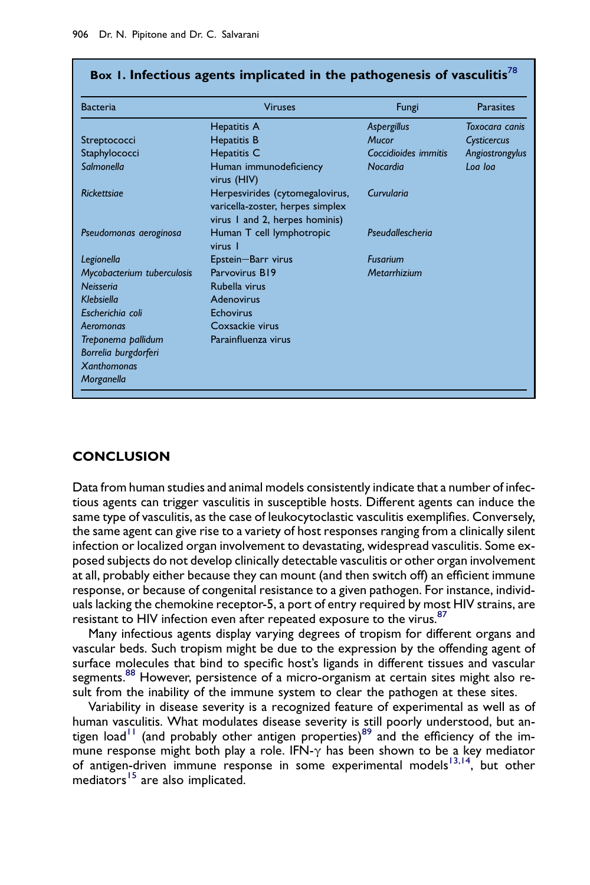| <b>Bacteria</b>            | <b>Viruses</b>                                                                                        | Fungi                | <b>Parasites</b> |
|----------------------------|-------------------------------------------------------------------------------------------------------|----------------------|------------------|
|                            | Hepatitis A                                                                                           | Aspergillus          | Toxocara canis   |
| Streptococci               | <b>Hepatitis B</b>                                                                                    | <b>Mucor</b>         | Cysticercus      |
| Staphylococci              | Hepatitis C                                                                                           | Coccidioides immitis | Angiostrongylus  |
| Salmonella                 | Human immunodeficiency<br>virus (HIV)                                                                 | Nocardia             | Log log          |
| Rickettsiae                | Herpesvirides (cytomegalovirus,<br>varicella-zoster, herpes simplex<br>virus 1 and 2, herpes hominis) | Curvularia           |                  |
| Pseudomonas aeroginosa     | Human T cell lymphotropic<br>virus I                                                                  | Pseudallescheria     |                  |
| Legionella                 | Epstein-Barr virus                                                                                    | <b>Fusarium</b>      |                  |
| Mycobacterium tuberculosis | Parvovirus B19                                                                                        | Metarrhizium         |                  |
| Neisseria                  | Rubella virus                                                                                         |                      |                  |
| Klebsiella                 | Adenovirus                                                                                            |                      |                  |
| Escherichia coli           | Echovirus                                                                                             |                      |                  |
| Aeromonas                  | Coxsackie virus                                                                                       |                      |                  |
| Treponema pallidum         | Parainfluenza virus                                                                                   |                      |                  |
| Borrelia burgdorferi       |                                                                                                       |                      |                  |
| <b>Xanthomonas</b>         |                                                                                                       |                      |                  |
| Morganella                 |                                                                                                       |                      |                  |

# <span id="page-9-0"></span>Box 1. Infectious agents implicated in the pathogenesis of vasculitis<sup>[78](#page-14-0)</sup>

## **CONCLUSION**

Data from human studies and animal models consistently indicate that a number of infectious agents can trigger vasculitis in susceptible hosts. Different agents can induce the same type of vasculitis, as the case of leukocytoclastic vasculitis exemplifies. Conversely, the same agent can give rise to a variety of host responses ranging from a clinically silent infection or localized organ involvement to devastating, widespread vasculitis. Some exposed subjects do not develop clinically detectable vasculitis or other organ involvement at all, probably either because they can mount (and then switch off) an efficient immune response, or because of congenital resistance to a given pathogen. For instance, individuals lacking the chemokine receptor-5, a port of entry required by most HIV strains, are resistant to HIV infection even after repeated exposure to the virus.<sup>[87](#page-14-0)</sup>

Many infectious agents display varying degrees of tropism for different organs and vascular beds. Such tropism might be due to the expression by the offending agent of surface molecules that bind to specific host's ligands in different tissues and vascular segments.<sup>88</sup> However, persistence of a micro-organism at certain sites might also result from the inability of the immune system to clear the pathogen at these sites.

Variability in disease severity is a recognized feature of experimental as well as of human vasculitis. What modulates disease severity is still poorly understood, but an-tigen load<sup>[11](#page-11-0)</sup> (and probably other antigen properties)<sup>[89](#page-14-0)</sup> and the efficiency of the immune response might both play a role. IFN- $\gamma$  has been shown to be a key mediator of antigen-driven immune response in some experimental models<sup>13,14</sup>, but other  $meditors$ <sup>[15](#page-11-0)</sup> are also implicated.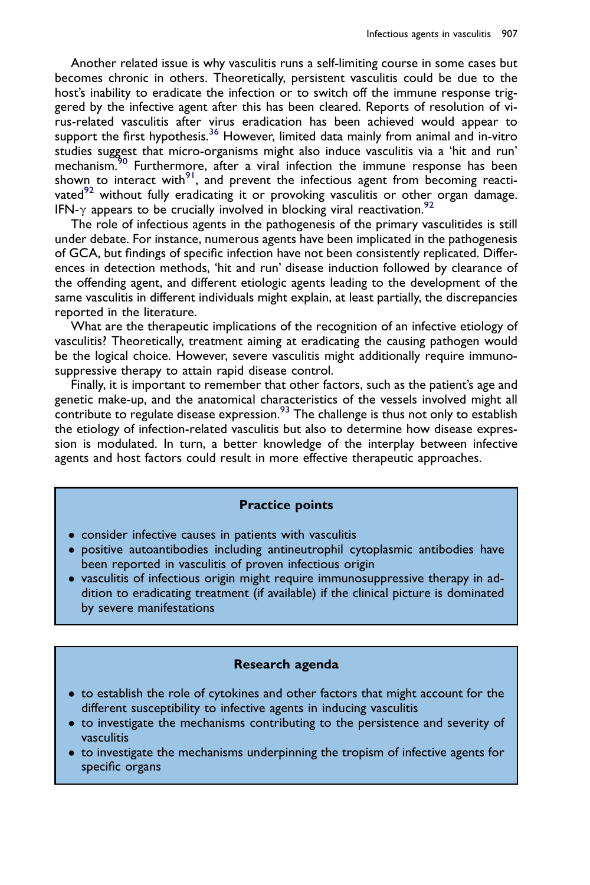Another related issue is why vasculitis runs a self-limiting course in some cases but becomes chronic in others. Theoretically, persistent vasculitis could be due to the host's inability to eradicate the infection or to switch off the immune response triggered by the infective agent after this has been cleared. Reports of resolution of virus-related vasculitis after virus eradication has been achieved would appear to support the first hypothesis.<sup>[36](#page-12-0)</sup> However, limited data mainly from animal and in-vitro studies suggest that micro-organisms might also induce vasculitis via a 'hit and run' mechanism.<sup>30</sup> Furthermore, after a viral infection the immune response has been shown to interact with $91$ , and prevent the infectious agent from becoming reacti-vated<sup>[92](#page-14-0)</sup> without fully eradicating it or provoking vasculitis or other organ damage. IFN- $\gamma$  appears to be crucially involved in blocking viral reactivation.<sup>[92](#page-14-0)</sup>

The role of infectious agents in the pathogenesis of the primary vasculitides is still under debate. For instance, numerous agents have been implicated in the pathogenesis of GCA, but findings of specific infection have not been consistently replicated. Differences in detection methods, 'hit and run' disease induction followed by clearance of the offending agent, and different etiologic agents leading to the development of the same vasculitis in different individuals might explain, at least partially, the discrepancies reported in the literature.

What are the therapeutic implications of the recognition of an infective etiology of vasculitis? Theoretically, treatment aiming at eradicating the causing pathogen would be the logical choice. However, severe vasculitis might additionally require immunosuppressive therapy to attain rapid disease control.

Finally, it is important to remember that other factors, such as the patient's age and genetic make-up, and the anatomical characteristics of the vessels involved might all contribute to regulate disease expression.<sup>[93](#page-14-0)</sup> The challenge is thus not only to establish the etiology of infection-related vasculitis but also to determine how disease expression is modulated. In turn, a better knowledge of the interplay between infective agents and host factors could result in more effective therapeutic approaches.

## Practice points

- consider infective causes in patients with vasculitis
- positive autoantibodies including antineutrophil cytoplasmic antibodies have been reported in vasculitis of proven infectious origin
- vasculitis of infectious origin might require immunosuppressive therapy in addition to eradicating treatment (if available) if the clinical picture is dominated by severe manifestations

## Research agenda

- to establish the role of cytokines and other factors that might account for the different susceptibility to infective agents in inducing vasculitis
- to investigate the mechanisms contributing to the persistence and severity of vasculitis
- to investigate the mechanisms underpinning the tropism of infective agents for specific organs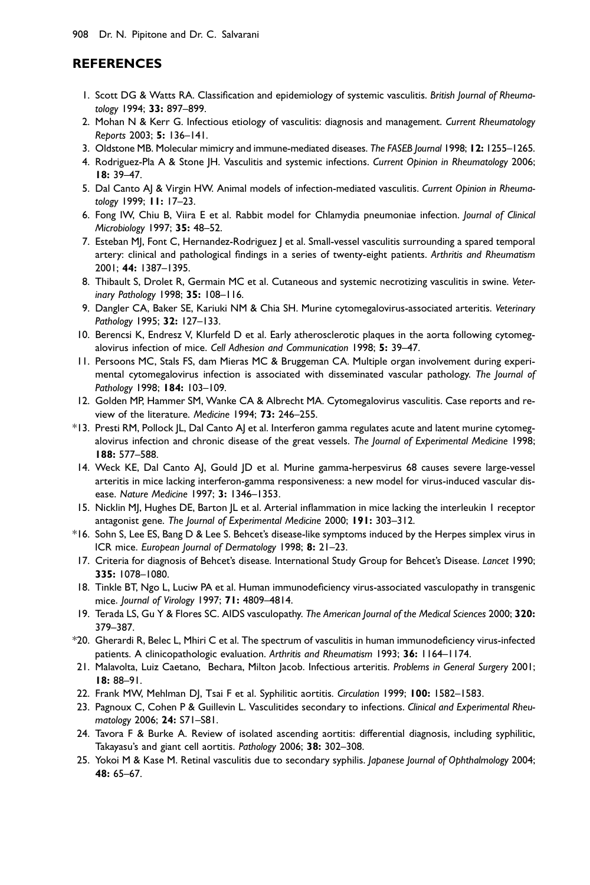## <span id="page-11-0"></span>REFERENCES

- 1. Scott DG & Watts RA. Classification and epidemiology of systemic vasculitis. British Journal of Rheumatology 1994; 33: 897–899.
- 2. Mohan N & Kerr G. Infectious etiology of vasculitis: diagnosis and management. Current Rheumatology Reports 2003; 5: 136–141.
- 3. Oldstone MB. Molecular mimicry and immune-mediated diseases. The FASEB Journal 1998; 12: 1255–1265.
- 4. Rodriguez-Pla A & Stone JH. Vasculitis and systemic infections. Current Opinion in Rheumatology 2006; 18: 39–47.
- 5. Dal Canto AJ & Virgin HW. Animal models of infection-mediated vasculitis. Current Opinion in Rheumatology 1999; 11: 17–23.
- 6. Fong IW, Chiu B, Viira E et al. Rabbit model for Chlamydia pneumoniae infection. Journal of Clinical Microbiology 1997; 35: 48–52.
- 7. Esteban MJ, Font C, Hernandez-Rodriguez | et al. Small-vessel vasculitis surrounding a spared temporal artery: clinical and pathological findings in a series of twenty-eight patients. Arthritis and Rheumatism 2001; 44: 1387–1395.
- 8. Thibault S, Drolet R, Germain MC et al. Cutaneous and systemic necrotizing vasculitis in swine. Veterinary Pathology 1998; 35: 108–116.
- 9. Dangler CA, Baker SE, Kariuki NM & Chia SH. Murine cytomegalovirus-associated arteritis. Veterinary Pathology 1995; 32: 127–133.
- 10. Berencsi K, Endresz V, Klurfeld D et al. Early atherosclerotic plaques in the aorta following cytomegalovirus infection of mice. Cell Adhesion and Communication 1998; 5: 39–47.
- 11. Persoons MC, Stals FS, dam Mieras MC & Bruggeman CA. Multiple organ involvement during experimental cytomegalovirus infection is associated with disseminated vascular pathology. The Journal of Pathology 1998; 184: 103–109.
- 12. Golden MP, Hammer SM, Wanke CA & Albrecht MA. Cytomegalovirus vasculitis. Case reports and review of the literature. Medicine 1994; 73: 246–255.
- \*13. Presti RM, Pollock JL, Dal Canto AJ et al. Interferon gamma regulates acute and latent murine cytomegalovirus infection and chronic disease of the great vessels. The Journal of Experimental Medicine 1998; 188: 577–588.
- 14. Weck KE, Dal Canto AJ, Gould JD et al. Murine gamma-herpesvirus 68 causes severe large-vessel arteritis in mice lacking interferon-gamma responsiveness: a new model for virus-induced vascular disease. Nature Medicine 1997; 3: 1346–1353.
- 15. Nicklin MJ, Hughes DE, Barton JL et al. Arterial inflammation in mice lacking the interleukin 1 receptor antagonist gene. The Journal of Experimental Medicine 2000; 191: 303–312.
- \*16. Sohn S, Lee ES, Bang D & Lee S. Behcet's disease-like symptoms induced by the Herpes simplex virus in ICR mice. European Journal of Dermatology 1998; 8: 21–23.
- 17. Criteria for diagnosis of Behcet's disease. International Study Group for Behcet's Disease. Lancet 1990; 335: 1078–1080.
- 18. Tinkle BT, Ngo L, Luciw PA et al. Human immunodeficiency virus-associated vasculopathy in transgenic mice. Journal of Virology 1997; 71: 4809–4814.
- 19. Terada LS, Gu Y & Flores SC. AIDS vasculopathy. The American Journal of the Medical Sciences 2000; 320: 379–387.
- \*20. Gherardi R, Belec L, Mhiri C et al. The spectrum of vasculitis in human immunodeficiency virus-infected patients. A clinicopathologic evaluation. Arthritis and Rheumatism 1993; 36: 1164-1174.
- 21. Malavolta, Luiz Caetano, Bechara, Milton Jacob. Infectious arteritis. Problems in General Surgery 2001; 18: 88–91.
- 22. Frank MW, Mehlman DJ, Tsai F et al. Syphilitic aortitis. Circulation 1999; 100: 1582-1583.
- 23. Pagnoux C, Cohen P & Guillevin L. Vasculitides secondary to infections. Clinical and Experimental Rheumatology 2006; 24: S71–S81.
- 24. Tavora F & Burke A. Review of isolated ascending aortitis: differential diagnosis, including syphilitic, Takayasu's and giant cell aortitis. Pathology 2006; 38: 302–308.
- 25. Yokoi M & Kase M. Retinal vasculitis due to secondary syphilis. Japanese Journal of Ophthalmology 2004; 48: 65–67.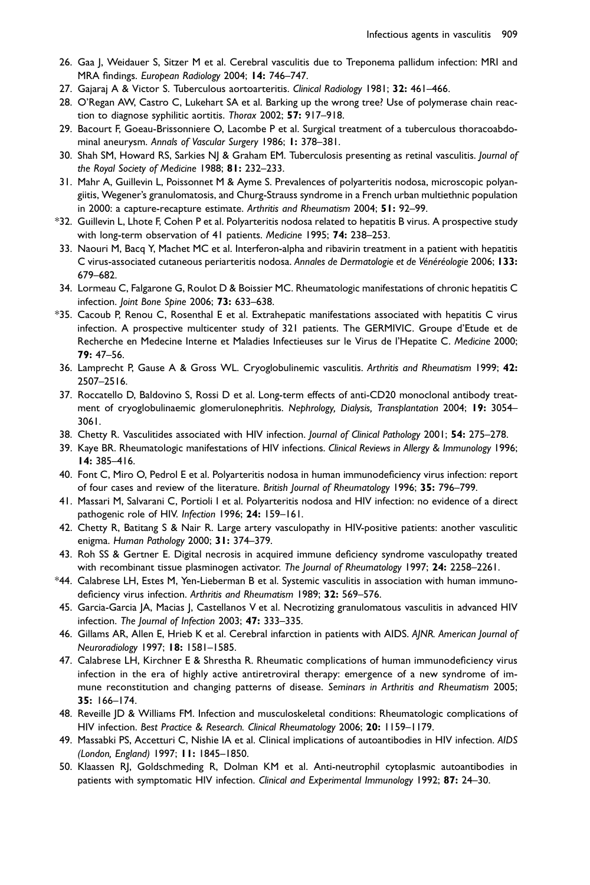- <span id="page-12-0"></span>26. Gaa J, Weidauer S, Sitzer M et al. Cerebral vasculitis due to Treponema pallidum infection: MRI and MRA findings. European Radiology 2004; 14: 746–747.
- 27. Gajaraj A & Victor S. Tuberculous aortoarteritis. Clinical Radiology 1981; 32: 461-466.
- 28. O'Regan AW, Castro C, Lukehart SA et al. Barking up the wrong tree? Use of polymerase chain reaction to diagnose syphilitic aortitis. Thorax 2002; 57: 917-918.
- 29. Bacourt F, Goeau-Brissonniere O, Lacombe P et al. Surgical treatment of a tuberculous thoracoabdominal aneurysm. Annals of Vascular Surgery 1986; 1: 378–381.
- 30. Shah SM, Howard RS, Sarkies NJ & Graham EM. Tuberculosis presenting as retinal vasculitis. Journal of the Royal Society of Medicine 1988; 81: 232–233.
- 31. Mahr A, Guillevin L, Poissonnet M & Ayme S. Prevalences of polyarteritis nodosa, microscopic polyangiitis, Wegener's granulomatosis, and Churg-Strauss syndrome in a French urban multiethnic population in 2000: a capture-recapture estimate. Arthritis and Rheumatism 2004; 51: 92–99.
- \*32. Guillevin L, Lhote F, Cohen P et al. Polyarteritis nodosa related to hepatitis B virus. A prospective study with long-term observation of 41 patients. Medicine 1995; 74: 238-253.
- 33. Naouri M, Bacq Y, Machet MC et al. Interferon-alpha and ribavirin treatment in a patient with hepatitis C virus-associated cutaneous periarteritis nodosa. Annales de Dermatologie et de Vénéréologie 2006; 133: 679–682.
- 34. Lormeau C, Falgarone G, Roulot D & Boissier MC. Rheumatologic manifestations of chronic hepatitis C infection. Joint Bone Spine 2006; 73: 633–638.
- \*35. Cacoub P, Renou C, Rosenthal E et al. Extrahepatic manifestations associated with hepatitis C virus infection. A prospective multicenter study of 321 patients. The GERMIVIC. Groupe d'Etude et de Recherche en Medecine Interne et Maladies Infectieuses sur le Virus de l'Hepatite C. Medicine 2000; 79: 47–56.
- 36. Lamprecht P, Gause A & Gross WL. Cryoglobulinemic vasculitis. Arthritis and Rheumatism 1999; 42: 2507–2516.
- 37. Roccatello D, Baldovino S, Rossi D et al. Long-term effects of anti-CD20 monoclonal antibody treatment of cryoglobulinaemic glomerulonephritis. Nephrology, Dialysis, Transplantation 2004; 19: 3054– 3061.
- 38. Chetty R. Vasculitides associated with HIV infection. Journal of Clinical Pathology 2001; 54: 275-278.
- 39. Kaye BR. Rheumatologic manifestations of HIV infections. Clinical Reviews in Allergy & Immunology 1996; 14: 385–416.
- 40. Font C, Miro O, Pedrol E et al. Polyarteritis nodosa in human immunodeficiency virus infection: report of four cases and review of the literature. British Journal of Rheumatology 1996; 35: 796–799.
- 41. Massari M, Salvarani C, Portioli I et al. Polyarteritis nodosa and HIV infection: no evidence of a direct pathogenic role of HIV. Infection 1996; 24: 159–161.
- 42. Chetty R, Batitang S & Nair R. Large artery vasculopathy in HIV-positive patients: another vasculitic enigma. Human Pathology 2000; 31: 374–379.
- 43. Roh SS & Gertner E. Digital necrosis in acquired immune deficiency syndrome vasculopathy treated with recombinant tissue plasminogen activator. The Journal of Rheumatology 1997; 24: 2258-2261.
- \*44. Calabrese LH, Estes M, Yen-Lieberman B et al. Systemic vasculitis in association with human immunodeficiency virus infection. Arthritis and Rheumatism 1989; 32: 569–576.
- 45. Garcia-Garcia JA, Macias J, Castellanos V et al. Necrotizing granulomatous vasculitis in advanced HIV infection. The Journal of Infection 2003; 47: 333–335.
- 46. Gillams AR, Allen E, Hrieb K et al. Cerebral infarction in patients with AIDS. AJNR. American Journal of Neuroradiology 1997; 18: 1581–1585.
- 47. Calabrese LH, Kirchner E & Shrestha R. Rheumatic complications of human immunodeficiency virus infection in the era of highly active antiretroviral therapy: emergence of a new syndrome of immune reconstitution and changing patterns of disease. Seminars in Arthritis and Rheumatism 2005; 35: 166–174.
- 48. Reveille JD & Williams FM. Infection and musculoskeletal conditions: Rheumatologic complications of HIV infection. Best Practice & Research. Clinical Rheumatology 2006; 20: 1159–1179.
- 49. Massabki PS, Accetturi C, Nishie IA et al. Clinical implications of autoantibodies in HIV infection. AIDS (London, England) 1997; 11: 1845–1850.
- 50. Klaassen RJ, Goldschmeding R, Dolman KM et al. Anti-neutrophil cytoplasmic autoantibodies in patients with symptomatic HIV infection. Clinical and Experimental Immunology 1992; 87: 24-30.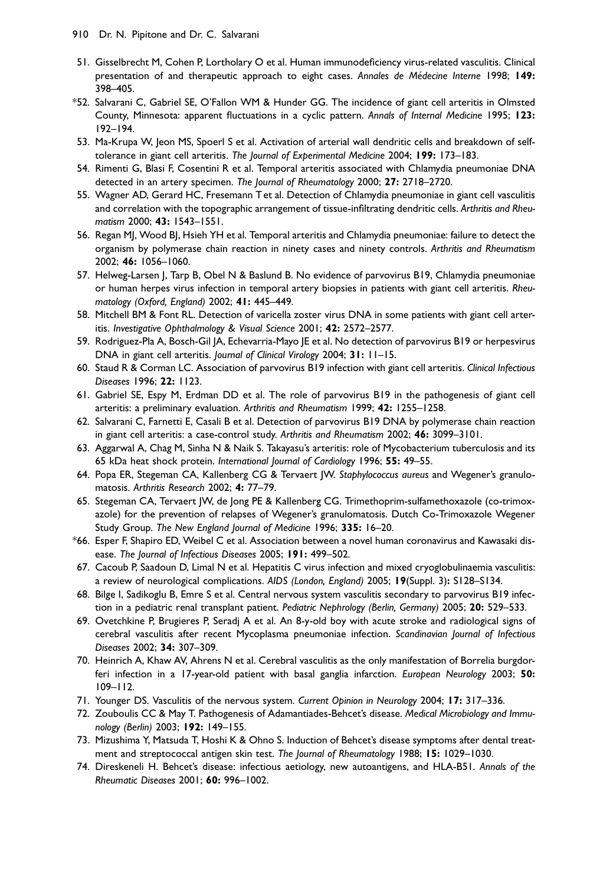- <span id="page-13-0"></span>51. Gisselbrecht M, Cohen P, Lortholary O et al. Human immunodeficiency virus-related vasculitis. Clinical presentation of and therapeutic approach to eight cases. Annales de Médecine Interne 1998; 149: 398–405.
- \*52. Salvarani C, Gabriel SE, O'Fallon WM & Hunder GG. The incidence of giant cell arteritis in Olmsted County, Minnesota: apparent fluctuations in a cyclic pattern. Annals of Internal Medicine 1995; 123: 192–194.
- 53. Ma-Krupa W, Jeon MS, Spoerl S et al. Activation of arterial wall dendritic cells and breakdown of selftolerance in giant cell arteritis. The Journal of Experimental Medicine 2004; 199: 173-183.
- 54. Rimenti G, Blasi F, Cosentini R et al. Temporal arteritis associated with Chlamydia pneumoniae DNA detected in an artery specimen. The Journal of Rheumatology 2000; 27: 2718-2720.
- 55. Wagner AD, Gerard HC, Fresemann T et al. Detection of Chlamydia pneumoniae in giant cell vasculitis and correlation with the topographic arrangement of tissue-infiltrating dendritic cells. Arthritis and Rheumatism 2000; 43: 1543–1551.
- 56. Regan MJ, Wood BJ, Hsieh YH et al. Temporal arteritis and Chlamydia pneumoniae: failure to detect the organism by polymerase chain reaction in ninety cases and ninety controls. Arthritis and Rheumatism 2002; 46: 1056–1060.
- 57. Helweg-Larsen J, Tarp B, Obel N & Baslund B. No evidence of parvovirus B19, Chlamydia pneumoniae or human herpes virus infection in temporal artery biopsies in patients with giant cell arteritis. Rheumatology (Oxford, England) 2002; 41: 445–449.
- 58. Mitchell BM & Font RL. Detection of varicella zoster virus DNA in some patients with giant cell arteritis. Investigative Ophthalmology & Visual Science 2001; 42: 2572–2577.
- 59. Rodriguez-Pla A, Bosch-Gil JA, Echevarria-Mayo JE et al. No detection of parvovirus B19 or herpesvirus DNA in giant cell arteritis. Journal of Clinical Virology 2004; 31: 11-15.
- 60. Staud R & Corman LC. Association of parvovirus B19 infection with giant cell arteritis. Clinical Infectious Diseases 1996; 22: 1123.
- 61. Gabriel SE, Espy M, Erdman DD et al. The role of parvovirus B19 in the pathogenesis of giant cell arteritis: a preliminary evaluation. Arthritis and Rheumatism 1999; 42: 1255–1258.
- 62. Salvarani C, Farnetti E, Casali B et al. Detection of parvovirus B19 DNA by polymerase chain reaction in giant cell arteritis: a case-control study. Arthritis and Rheumatism 2002; 46: 3099-3101.
- 63. Aggarwal A, Chag M, Sinha N & Naik S. Takayasu's arteritis: role of Mycobacterium tuberculosis and its 65 kDa heat shock protein. International Journal of Cardiology 1996; 55: 49–55.
- 64. Popa ER, Stegeman CA, Kallenberg CG & Tervaert JW. Staphylococcus aureus and Wegener's granulomatosis. Arthritis Research 2002; 4: 77–79.
- 65. Stegeman CA, Tervaert JW, de Jong PE & Kallenberg CG. Trimethoprim-sulfamethoxazole (co-trimoxazole) for the prevention of relapses of Wegener's granulomatosis. Dutch Co-Trimoxazole Wegener Study Group. The New England Journal of Medicine 1996; 335: 16–20.
- \*66. Esper F, Shapiro ED, Weibel C et al. Association between a novel human coronavirus and Kawasaki disease. The Journal of Infectious Diseases 2005; 191: 499-502.
- 67. Cacoub P, Saadoun D, Limal N et al. Hepatitis C virus infection and mixed cryoglobulinaemia vasculitis: a review of neurological complications. AIDS (London, England) 2005; 19(Suppl. 3): S128–S134.
- 68. Bilge I, Sadikoglu B, Emre S et al. Central nervous system vasculitis secondary to parvovirus B19 infection in a pediatric renal transplant patient. Pediatric Nephrology (Berlin, Germany) 2005; 20: 529-533.
- 69. Ovetchkine P, Brugieres P, Seradj A et al. An 8-y-old boy with acute stroke and radiological signs of cerebral vasculitis after recent Mycoplasma pneumoniae infection. Scandinavian Journal of Infectious Diseases 2002; 34: 307–309.
- 70. Heinrich A, Khaw AV, Ahrens N et al. Cerebral vasculitis as the only manifestation of Borrelia burgdorferi infection in a 17-year-old patient with basal ganglia infarction. European Neurology 2003; 50: 109–112.
- 71. Younger DS. Vasculitis of the nervous system. Current Opinion in Neurology 2004; 17: 317-336.
- 72. Zouboulis CC & May T. Pathogenesis of Adamantiades-Behcet's disease. Medical Microbiology and Immunology (Berlin) 2003; 192: 149–155.
- 73. Mizushima Y, Matsuda T, Hoshi K & Ohno S. Induction of Behcet's disease symptoms after dental treatment and streptococcal antigen skin test. The Journal of Rheumatology 1988; 15: 1029-1030.
- 74. Direskeneli H. Behcet's disease: infectious aetiology, new autoantigens, and HLA-B51. Annals of the Rheumatic Diseases 2001; 60: 996–1002.